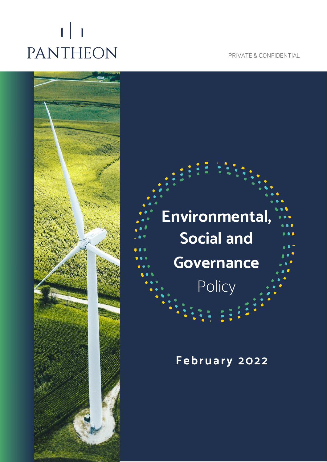# $\lfloor \cdot \rfloor$ PANTHEON

PRIVATE & CONFIDENTIAL



## **Environmental, Social and Governance Policy**

 $\frac{1}{2}$ 

### **February 202 2**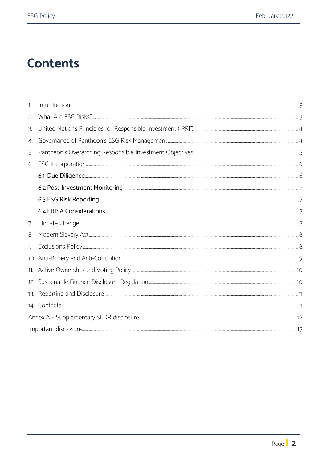## **Contents**

| 1. |  |
|----|--|
| 2. |  |
| 3. |  |
| 4. |  |
| 5. |  |
| 6. |  |
|    |  |
|    |  |
|    |  |
|    |  |
| 7. |  |
| 8. |  |
| 9. |  |
|    |  |
|    |  |
|    |  |
|    |  |
|    |  |
|    |  |
|    |  |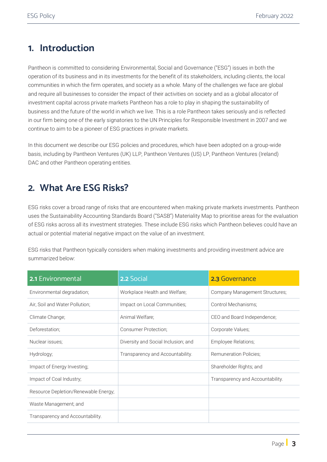### <span id="page-2-0"></span>**1. Introduction**

Pantheon is committed to considering Environmental, Social and Governance ("ESG") issues in both the operation of its business and in its investments for the benefit of its stakeholders, including clients, the local communities in which the firm operates, and society as a whole. Many of the challenges we face are global and require all businesses to consider the impact of their activities on society and as a global allocator of investment capital across private markets Pantheon has a role to play in shaping the sustainability of business and the future of the world in which we live. This is a role Pantheon takes seriously and is reflected in our firm being one of the early signatories to the UN Principles for Responsible Investment in 2007 and we continue to aim to be a pioneer of ESG practices in private markets.

In this document we describe our ESG policies and procedures, which have been adopted on a group-wide basis, including by Pantheon Ventures (UK) LLP, Pantheon Ventures (US) LP, Pantheon Ventures (Ireland) DAC and other Pantheon operating entities.

### <span id="page-2-1"></span>**2. What Are ESG Risks?**

ESG risks cover a broad range of risks that are encountered when making private markets investments. Pantheon uses the Sustainability Accounting Standards Board ("SASB") Materiality Map to prioritise areas for the evaluation of ESG risks across all its investment strategies. These include ESG risks which Pantheon believes could have an actual or potential material negative impact on the value of an investment.

ESG risks that Pantheon typically considers when making investments and providing investment advice are summarized below:

| <b>2.1</b> Environmental             | 2.2 Social                          | 2.3 Governance                   |
|--------------------------------------|-------------------------------------|----------------------------------|
| Environmental degradation;           | Workplace Health and Welfare;       | Company Management Structures;   |
| Air, Soil and Water Pollution;       | Impact on Local Communities;        | Control Mechanisms;              |
| Climate Change;                      | Animal Welfare;                     | CEO and Board Independence;      |
| Deforestation;                       | Consumer Protection;                | Corporate Values;                |
| Nuclear issues;                      | Diversity and Social Inclusion; and | Employee Relations;              |
| Hydrology;                           | Transparency and Accountability.    | <b>Remuneration Policies:</b>    |
| Impact of Energy Investing;          |                                     | Shareholder Rights; and          |
| Impact of Coal Industry;             |                                     | Transparency and Accountability. |
| Resource Depletion/Renewable Energy; |                                     |                                  |
| Waste Management; and                |                                     |                                  |
| Transparency and Accountability.     |                                     |                                  |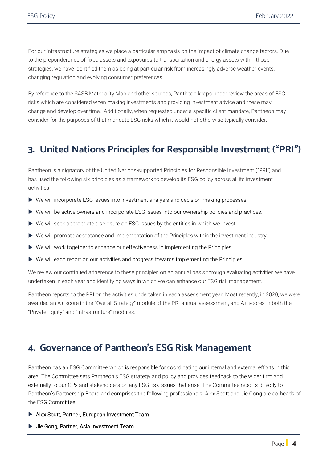For our infrastructure strategies we place a particular emphasis on the impact of climate change factors. Due to the preponderance of fixed assets and exposures to transportation and energy assets within those strategies, we have identified them as being at particular risk from increasingly adverse weather events, changing regulation and evolving consumer preferences.

By reference to the SASB Materiality Map and other sources, Pantheon keeps under review the areas of ESG risks which are considered when making investments and providing investment advice and these may change and develop over time. Additionally, when requested under a specific client mandate, Pantheon may consider for the purposes of that mandate ESG risks which it would not otherwise typically consider.

### <span id="page-3-0"></span>**3. United Nations Principles for Responsible Investment ("PRI")**

Pantheon is a signatory of the United Nations-supported Principles for Responsible Investment ("PRI") and has used the following six principles as a framework to develop its ESG policy across all its investment activities.

- We will incorporate ESG issues into investment analysis and decision-making processes.
- We will be active owners and incorporate ESG issues into our ownership policies and practices.
- $\triangleright$  We will seek appropriate disclosure on ESG issues by the entities in which we invest.
- We will promote acceptance and implementation of the Principles within the investment industry.
- ▶ We will work together to enhance our effectiveness in implementing the Principles.
- We will each report on our activities and progress towards implementing the Principles.

We review our continued adherence to these principles on an annual basis through evaluating activities we have undertaken in each year and identifying ways in which we can enhance our ESG risk management.

Pantheon reports to the PRI on the activities undertaken in each assessment year. Most recently, in 2020, we were awarded an A+ score in the "Overall Strategy" module of the PRI annual assessment, and A+ scores in both the "Private Equity" and "Infrastructure" modules.

### <span id="page-3-1"></span>**4. Governance of Pantheon's ESG Risk Management**

Pantheon has an ESG Committee which is responsible for coordinating our internal and external efforts in this area. The Committee sets Pantheon's ESG strategy and policy and provides feedback to the wider firm and externally to our GPs and stakeholders on any ESG risk issues that arise. The Committee reports directly to Pantheon's Partnership Board and comprises the following professionals. Alex Scott and Jie Gong are co-heads of the ESG Committee.

- Alex Scott, Partner, European Investment Team
- ▶ Jie Gong, Partner, Asia Investment Team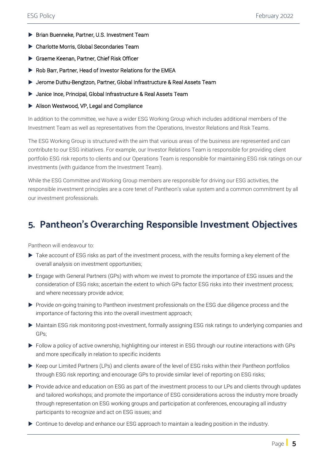- Brian Buenneke, Partner, U.S. Investment Team
- Charlotte Morris, Global Secondaries Team
- Graeme Keenan, Partner, Chief Risk Officer
- Rob Barr, Partner, Head of Investor Relations for the EMEA
- Jerome Duthu-Bengtzon, Partner, Global Infrastructure & Real Assets Team
- Janice Ince, Principal, Global Infrastructure & Real Assets Team
- Alison Westwood, VP, Legal and Compliance

In addition to the committee, we have a wider ESG Working Group which includes additional members of the Investment Team as well as representatives from the Operations, Investor Relations and Risk Teams.

The ESG Working Group is structured with the aim that various areas of the business are represented and can contribute to our ESG initiatives. For example, our Investor Relations Team is responsible for providing client portfolio ESG risk reports to clients and our Operations Team is responsible for maintaining ESG risk ratings on our investments (with guidance from the Investment Team).

While the ESG Committee and Working Group members are responsible for driving our ESG activities, the responsible investment principles are a core tenet of Pantheon's value system and a common commitment by all our investment professionals.

### <span id="page-4-0"></span>**5. Pantheon's Overarching Responsible Investment Objectives**

Pantheon will endeavour to:

- $\triangleright$  Take account of ESG risks as part of the investment process, with the results forming a key element of the overall analysis on investment opportunities;
- Engage with General Partners (GPs) with whom we invest to promote the importance of ESG issues and the consideration of ESG risks; ascertain the extent to which GPs factor ESG risks into their investment process; and where necessary provide advice;
- Provide on-going training to Pantheon investment professionals on the ESG due diligence process and the importance of factoring this into the overall investment approach;
- Maintain ESG risk monitoring post-investment, formally assigning ESG risk ratings to underlying companies and GPs;
- Follow a policy of active ownership, highlighting our interest in ESG through our routine interactions with GPs and more specifically in relation to specific incidents
- Keep our Limited Partners (LPs) and clients aware of the level of ESG risks within their Pantheon portfolios through ESG risk reporting; and encourage GPs to provide similar level of reporting on ESG risks;
- Provide advice and education on ESG as part of the investment process to our LPs and clients through updates and tailored workshops; and promote the importance of ESG considerations across the industry more broadly through representation on ESG working groups and participation at conferences, encouraging all industry participants to recognize and act on ESG issues; and
- Continue to develop and enhance our ESG approach to maintain a leading position in the industry.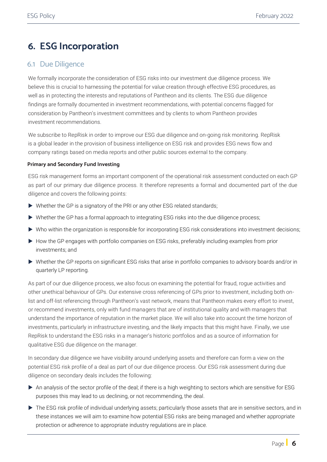### <span id="page-5-0"></span>**6. ESG Incorporation**

### <span id="page-5-1"></span>6.1 Due Diligence

We formally incorporate the consideration of ESG risks into our investment due diligence process. We believe this is crucial to harnessing the potential for value creation through effective ESG procedures, as well as in protecting the interests and reputations of Pantheon and its clients. The ESG due diligence findings are formally documented in investment recommendations, with potential concerns flagged for consideration by Pantheon's investment committees and by clients to whom Pantheon provides investment recommendations.

We subscribe to RepRisk in order to improve our ESG due diligence and on-going risk monitoring. RepRisk is a global leader in the provision of business intelligence on ESG risk and provides ESG news flow and company ratings based on media reports and other public sources external to the company.

#### **Primary and Secondary Fund Investing**

ESG risk management forms an important component of the operational risk assessment conducted on each GP as part of our primary due diligence process. It therefore represents a formal and documented part of the due diligence and covers the following points:

- ▶ Whether the GP is a signatory of the PRI or any other ESG related standards;
- Whether the GP has a formal approach to integrating ESG risks into the due diligence process;
- Who within the organization is responsible for incorporating ESG risk considerations into investment decisions;
- How the GP engages with portfolio companies on ESG risks, preferably including examples from prior investments; and
- Whether the GP reports on significant ESG risks that arise in portfolio companies to advisory boards and/or in quarterly LP reporting.

As part of our due diligence process, we also focus on examining the potential for fraud, rogue activities and other unethical behaviour of GPs. Our extensive cross referencing of GPs prior to investment, including both onlist and off-list referencing through Pantheon's vast network, means that Pantheon makes every effort to invest, or recommend investments, only with fund managers that are of institutional quality and with managers that understand the importance of reputation in the market place. We will also take into account the time horizon of investments, particularly in infrastructure investing, and the likely impacts that this might have. Finally, we use RepRisk to understand the ESG risks in a manager's historic portfolios and as a source of information for qualitative ESG due diligence on the manager.

In secondary due diligence we have visibility around underlying assets and therefore can form a view on the potential ESG risk profile of a deal as part of our due diligence process. Our ESG risk assessment during due diligence on secondary deals includes the following:

- An analysis of the sector profile of the deal; if there is a high weighting to sectors which are sensitive for ESG purposes this may lead to us declining, or not recommending, the deal.
- The ESG risk profile of individual underlying assets; particularly those assets that are in sensitive sectors, and in these instances we will aim to examine how potential ESG risks are being managed and whether appropriate protection or adherence to appropriate industry regulations are in place.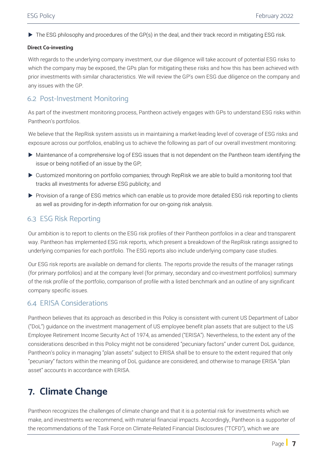The ESG philosophy and procedures of the GP(s) in the deal, and their track record in mitigating ESG risk.

#### **Direct Co-investing**

With regards to the underlying company investment, our due diligence will take account of potential ESG risks to which the company may be exposed, the GPs plan for mitigating these risks and how this has been achieved with prior investments with similar characteristics. We will review the GP's own ESG due diligence on the company and any issues with the GP.

### <span id="page-6-0"></span>6.2 Post-Investment Monitoring

As part of the investment monitoring process, Pantheon actively engages with GPs to understand ESG risks within Pantheon's portfolios.

We believe that the RepRisk system assists us in maintaining a market-leading level of coverage of ESG risks and exposure across our portfolios, enabling us to achieve the following as part of our overall investment monitoring:

- Maintenance of a comprehensive log of ESG issues that is not dependent on the Pantheon team identifying the issue or being notified of an issue by the GP;
- Customized monitoring on portfolio companies; through RepRisk we are able to build a monitoring tool that tracks all investments for adverse ESG publicity; and
- Provision of a range of ESG metrics which can enable us to provide more detailed ESG risk reporting to clients as well as providing for in-depth information for our on-going risk analysis.

### <span id="page-6-1"></span>6.3 ESG Risk Reporting

Our ambition is to report to clients on the ESG risk profiles of their Pantheon portfolios in a clear and transparent way. Pantheon has implemented ESG risk reports, which present a breakdown of the RepRisk ratings assigned to underlying companies for each portfolio. The ESG reports also include underlying company case studies.

Our ESG risk reports are available on demand for clients. The reports provide the results of the manager ratings (for primary portfolios) and at the company level (for primary, secondary and co-investment portfolios) summary of the risk profile of the portfolio, comparison of profile with a listed benchmark and an outline of any significant company specific issues.

### <span id="page-6-2"></span>6.4 ERISA Considerations

Pantheon believes that its approach as described in this Policy is consistent with current US Department of Labor ("DoL") guidance on the investment management of US employee benefit plan assets that are subject to the US Employee Retirement Income Security Act of 1974, as amended ("ERISA"). Nevertheless, to the extent any of the considerations described in this Policy might not be considered "pecuniary factors" under current DoL guidance, Pantheon's policy in managing "plan assets" subject to ERISA shall be to ensure to the extent required that only "pecuniary" factors within the meaning of DoL guidance are considered, and otherwise to manage ERISA "plan asset" accounts in accordance with ERISA.

### <span id="page-6-3"></span>**7. Climate Change**

Pantheon recognizes the challenges of climate change and that it is a potential risk for investments which we make, and investments we recommend, with material financial impacts. Accordingly, Pantheon is a supporter of the recommendations of the Task Force on Climate-Related Financial Disclosures ("TCFD"), which we are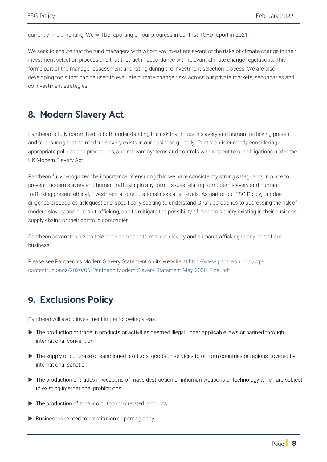currently implementing. We will be reporting on our progress in our first TCFD report in 2021.

We seek to ensure that the fund managers with whom we invest are aware of the risks of climate change in their investment selection process and that they act in accordance with relevant climate change regulations. This forms part of the manager assessment and rating during the investment selection process. We are also developing tools that can be used to evaluate climate change risks across our private markets, secondaries and co-investment strategies.

### <span id="page-7-0"></span>**8. Modern Slavery Act**

Pantheon is fully committed to both understanding the risk that modern slavery and human trafficking present, and to ensuring that no modern slavery exists in our business globally. Pantheon is currently considering appropriate policies and procedures, and relevant systems and controls with respect to our obligations under the UK Modern Slavery Act.

Pantheon fully recognizes the importance of ensuring that we have consistently strong safeguards in place to prevent modern slavery and human trafficking in any form. Issues relating to modern slavery and human trafficking present ethical, investment and reputational risks at all levels. As part of our ESG Policy, our due diligence procedures ask questions, specifically seeking to understand GPs' approaches to addressing the risk of modern slavery and human trafficking, and to mitigate the possibility of modern slavery existing in their business, supply chains or their portfolio companies.

Pantheon advocates a zero-tolerance approach to modern slavery and human trafficking in any part of our business.

Please see Pantheon's Modern Slavery Statement on its website at [http://www.pantheon.com/wp](http://www.pantheon.com/wp-content/uploads/2020/06/Pantheon-Modern-Slavery-Statement-May-2020_Final.pdf)[content/uploads/2020/06/Pantheon-Modern-Slavery-Statement-May-2020\\_Final.pdf](http://www.pantheon.com/wp-content/uploads/2020/06/Pantheon-Modern-Slavery-Statement-May-2020_Final.pdf)

### <span id="page-7-1"></span>**9. Exclusions Policy**

Pantheon will avoid investment in the following areas:

- The production or trade in products or activities deemed illegal under applicable laws or banned through international convention
- The supply or purchase of sanctioned products, goods or services to or from countries or regions covered by international sanction
- ▶ The production or trades in weapons of mass destruction or inhuman weapons or technology which are subject to existing international prohibitions
- The production of tobacco or tobacco related products
- $\blacktriangleright$  Businesses related to prostitution or pornography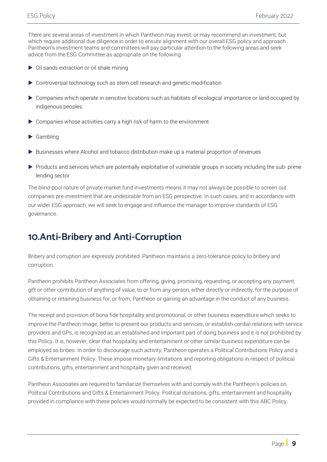There are several areas of investment in which Pantheon may invest, or may recommend an investment, but which require additional due diligence in order to ensure alignment with our overall ESG policy and approach. Pantheon's investment teams and committees will pay particular attention to the following areas and seek advice from the ESG Committee as appropriate on the following:

- Oil sands extraction or oil shale mining
- Controversial technology such as stem cell research and genetic modification
- Companies which operate in sensitive locations such as habitats of ecological importance or land occupied by indigenous peoples.
- Companies whose activities carry a high risk of harm to the environment
- Gambling
- Businesses where Alcohol and tobacco distribution make up a material proportion of revenues
- Products and services which are potentially exploitative of vulnerable groups in society including the sub-prime lending sector

The blind-pool nature of private market fund investments means it may not always be possible to screen out companies pre-investment that are undesirable from an ESG perspective. In such cases, and in accordance with our wider ESG approach, we will seek to engage and influence the manager to improve standards of ESG governance.

### <span id="page-8-0"></span>**10.Anti-Bribery and Anti-Corruption**

Bribery and corruption are expressly prohibited. Pantheon maintains a zero-tolerance policy to bribery and corruption.

Pantheon prohibits Pantheon Associates from offering, giving, promising, requesting, or accepting any payment, gift or other contribution of anything of value, to or from any person, either directly or indirectly, for the purpose of obtaining or retaining business for, or from, Pantheon or gaining an advantage in the conduct of any business.

The receipt and provision of bona fide hospitality and promotional, or other business expenditure which seeks to improve the Pantheon image, better to present our products and services, or establish cordial relations with service providers and GPs, is recognized as an established and important part of doing business and it is not prohibited by this Policy. It is, however, clear that hospitality and entertainment or other similar business expenditure can be employed as bribes. In order to discourage such activity, Pantheon operates a Political Contributions Policy and a Gifts & Entertainment Policy. These impose monetary limitations and reporting obligations in respect of political contributions, gifts, entertainment and hospitality given and received.

Pantheon Associates are required to familiarize themselves with and comply with the Pantheon's policies on Political Contributions and Gifts & Entertainment Policy. Political donations, gifts, entertainment and hospitality provided in compliance with these policies would normally be expected to be consistent with this ABC Policy.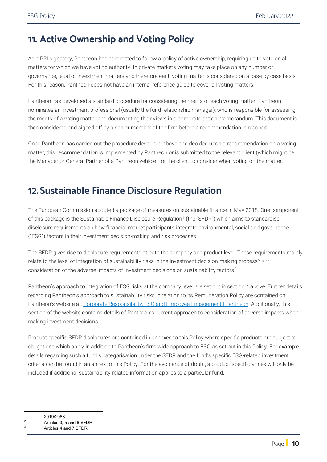### <span id="page-9-0"></span>**11. Active Ownership and Voting Policy**

As a PRI signatory, Pantheon has committed to follow a policy of active ownership, requiring us to vote on all matters for which we have voting authority. In private markets voting may take place on any number of governance, legal or investment matters and therefore each voting matter is considered on a case by case basis. For this reason, Pantheon does not have an internal reference guide to cover all voting matters.

Pantheon has developed a standard procedure for considering the merits of each voting matter. Pantheon nominates an investment professional (usually the fund relationship manager), who is responsible for assessing the merits of a voting matter and documenting their views in a corporate action memorandum. This document is then considered and signed off by a senior member of the firm before a recommendation is reached.

Once Pantheon has carried out the procedure described above and decided upon a recommendation on a voting matter, this recommendation is implemented by Pantheon or is submitted to the relevant client (which might be the Manager or General Partner of a Pantheon vehicle) for the client to consider when voting on the matter.

### <span id="page-9-1"></span>**12.Sustainable Finance Disclosure Regulation**

The European Commission adopted a package of measures on sustainable finance in May 2018. One component of this package is the Sustainable Finance Disclosure Regulation<sup>[1](#page-9-2)</sup> (the "SFDR") which aims to standardise disclosure requirements on how financial market participants integrate environmental, social and governance ("ESG") factors in their investment decision-making and risk processes.

The SFDR gives rise to disclosure requirements at both the company and product level. These requirements mainly relate to the level of integration of sustainability risks in the investment decision-making process<sup>[2](#page-9-3)</sup> and consideration of the adverse impacts of investment decisions on sustainability factors[3.](#page-9-4)

Pantheon's approach to integration of ESG risks at the company level are set out in section 4 above. Further details regarding Pantheon's approach to sustainability risks in relation to its Remuneration Policy are contained on Pantheon's website at: [Corporate Responsibility, ESG and Employee Engagement | Pantheon.](https://www.pantheon.com/corporate-responsibility/) Additionally, this section of the website contains details of Pantheon's current approach to consideration of adverse impacts when making investment decisions.

Product-specific SFDR disclosures are contained in annexes to this Policy where specific products are subject to obligations which apply in addition to Pantheon's firm-wide approach to ESG as set out in this Policy. For example, details regarding such a fund's categorisation under the SFDR and the fund's specific ESG-related investment criteria can be found in an annex to this Policy. For the avoidance of doubt, a product-specific annex will only be included if additional sustainability-related information applies to a particular fund.

<span id="page-9-2"></span> $\frac{1}{2}$  2019/2088.

<span id="page-9-3"></span>Articles 3, 5 and 6 SFDR.

<span id="page-9-4"></span>Articles 4 and 7 SFDR.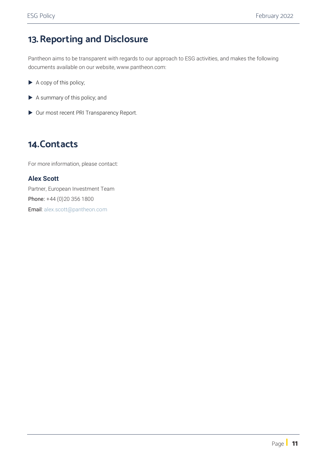### <span id="page-10-0"></span>**13.Reporting and Disclosure**

Pantheon aims to be transparent with regards to our approach to ESG activities, and makes the following documents available on our [website, www.pantheon.com:](http://www.pantheon.com/)

- ▶ A copy of this policy;
- A summary of this policy; and
- Our most recent PRI Transparency Report.

### <span id="page-10-1"></span>**14.Contacts**

For more information, please contact:

### **Alex Scott**

Partner, European Investment Team Phone: +44 (0)20 356 1800 Email: [alex.scott@pantheon.com](mailto:alex.scott@pantheon.com)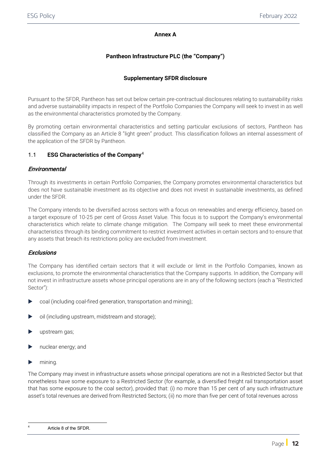#### **Annex A**

### **Pantheon Infrastructure PLC (the "Company")**

### **Supplementary SFDR disclosure**

Pursuant to the SFDR, Pantheon has set out below certain pre-contractual disclosures relating to sustainability risks and adverse sustainability impacts in respect of the Portfolio Companies the Company will seek to invest in as well as the environmental characteristics promoted by the Company.

By promoting certain environmental characteristics and setting particular exclusions of sectors, Pantheon has classified the Company as an Article 8 "light green" product. This classification follows an internal assessment of the application of the SFDR by Pantheon.

### 1.1 **ESG Characteristics of the Company**[4](#page-11-0)

### **Environmental**

Through its investments in certain Portfolio Companies, the Company promotes environmental characteristics but does not have sustainable investment as its objective and does not invest in sustainable investments, as defined under the SFDR.

The Company intends to be diversified across sectors with a focus on renewables and energy efficiency, based on a target exposure of 10-25 per cent of Gross Asset Value. This focus is to support the Company's environmental characteristics which relate to climate change mitigation. The Company will seek to meet these environmental characteristics through its binding commitment to restrict investment activities in certain sectors and to ensure that any assets that breach its restrictions policy are excluded from investment.

#### **Exclusions**

The Company has identified certain sectors that it will exclude or limit in the Portfolio Companies, known as exclusions, to promote the environmental characteristics that the Company supports. In addition, the Company will not invest in infrastructure assets whose principal operations are in any of the following sectors (each a "Restricted Sector"):

- coal (including coal-fired generation, transportation and mining);
- oil (including upstream, midstream and storage);
- upstream gas;
- nuclear energy; and
- mining.

The Company may invest in infrastructure assets whose principal operations are not in a Restricted Sector but that nonetheless have some exposure to a Restricted Sector (for example, a diversified freight rail transportation asset that has some exposure to the coal sector), provided that: (i) no more than 15 per cent of any such infrastructure asset's total revenues are derived from Restricted Sectors; (ii) no more than five per cent of total revenues across

<span id="page-11-0"></span>Article 8 of the SFDR.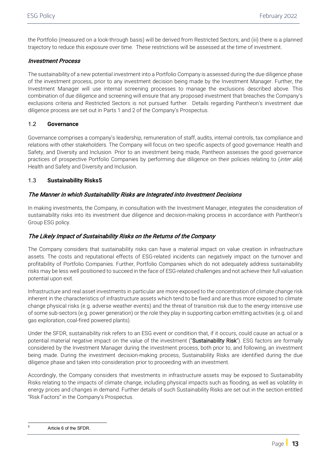the Portfolio (measured on a look-through basis) will be derived from Restricted Sectors; and (iii) there is a planned trajectory to reduce this exposure over time. These restrictions will be assessed at the time of investment.

#### Investment Process

The sustainability of a new potential investment into a Portfolio Company is assessed during the due diligence phase of the investment process, prior to any investment decision being made by the Investment Manager. Further, the Investment Manager will use internal screening processes to manage the exclusions described above. This combination of due diligence and screening will ensure that any proposed investment that breaches the Company's exclusions criteria and Restricted Sectors is not pursued further. Details regarding Pantheon's investment due diligence process are set out in Parts 1 and 2 of the Company's Prospectus.

### 1.2 **Governance**

Governance comprises a company's leadership, remuneration of staff, audits, internal controls, tax compliance and relations with other stakeholders. The Company will focus on two specific aspects of good governance: Health and Safety, and Diversity and Inclusion. Prior to an investment being made, Pantheon assesses the good governance practices of prospective Portfolio Companies by performing due diligence on their policies relating to (inter alia) Health and Safety and Diversity and Inclusion.

### 1.3 **Sustainability Risks[5](#page-12-0)**

### The Manner in which Sustainability Risks are Integrated into Investment Decisions

In making investments, the Company, in consultation with the Investment Manager, integrates the consideration of sustainability risks into its investment due diligence and decision-making process in accordance with Pantheon's Group ESG policy.

### The Likely Impact of Sustainability Risks on the Returns of the Company

The Company considers that sustainability risks can have a material impact on value creation in infrastructure assets. The costs and reputational effects of ESG-related incidents can negatively impact on the turnover and profitability of Portfolio Companies. Further, Portfolio Companies which do not adequately address sustainability risks may be less well positioned to succeed in the face of ESG-related challenges and not achieve their full valuation potential upon exit.

Infrastructure and real asset investments in particular are more exposed to the concentration of climate change risk inherent in the characteristics of infrastructure assets which tend to be fixed and are thus more exposed to climate change physical risks (e.g. adverse weather events) and the threat of transition risk due to the energy intensive use of some sub-sectors (e.g. power generation) or the role they play in supporting carbon emitting activities (e.g. oil and gas exploration, coal-fired powered plants).

Under the SFDR, sustainability risk refers to an ESG event or condition that, if it occurs, could cause an actual or a potential material negative impact on the value of the investment ("Sustainability Risk"). ESG factors are formally considered by the Investment Manager during the investment process, both prior to, and following, an investment being made. During the investment decision-making process, Sustainability Risks are identified during the due diligence phase and taken into consideration prior to proceeding with an investment.

Accordingly, the Company considers that investments in infrastructure assets may be exposed to Sustainability Risks relating to the impacts of climate change, including physical impacts such as flooding, as well as volatility in energy prices and changes in demand. Further details of such Sustainability Risks are set out in the section entitled "Risk Factors" in the Company's Prospectus.

<span id="page-12-0"></span><sup>5</sup> Article 6 of the SFDR.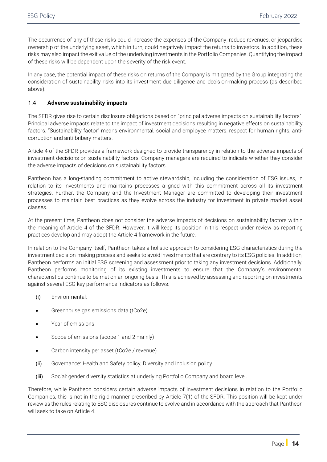The occurrence of any of these risks could increase the expenses of the Company, reduce revenues, or jeopardise ownership of the underlying asset, which in turn, could negatively impact the returns to investors. In addition, these risks may also impact the exit value of the underlying investments in the Portfolio Companies. Quantifying the impact of these risks will be dependent upon the severity of the risk event.

In any case, the potential impact of these risks on returns of the Company is mitigated by the Group integrating the consideration of sustainability risks into its investment due diligence and decision-making process (as described above).

#### 1.4 **Adverse sustainability impacts**

The SFDR gives rise to certain disclosure obligations based on "principal adverse impacts on sustainability factors". Principal adverse impacts relate to the impact of investment decisions resulting in negative effects on sustainability factors. "Sustainability factor" means environmental, social and employee matters, respect for human rights, anticorruption and anti-bribery matters.

Article 4 of the SFDR provides a framework designed to provide transparency in relation to the adverse impacts of investment decisions on sustainability factors. Company managers are required to indicate whether they consider the adverse impacts of decisions on sustainability factors.

Pantheon has a long-standing commitment to active stewardship, including the consideration of ESG issues, in relation to its investments and maintains processes aligned with this commitment across all its investment strategies. Further, the Company and the Investment Manager are committed to developing their investment processes to maintain best practices as they evolve across the industry for investment in private market asset classes.

At the present time, Pantheon does not consider the adverse impacts of decisions on sustainability factors within the meaning of Article 4 of the SFDR. However, it will keep its position in this respect under review as reporting practices develop and may adopt the Article 4 framework in the future.

In relation to the Company itself, Pantheon takes a holistic approach to considering ESG characteristics during the investment decision-making process and seeks to avoid investments that are contrary to its ESG policies. In addition, Pantheon performs an initial ESG screening and assessment prior to taking any investment decisions. Additionally, Pantheon performs monitoring of its existing investments to ensure that the Company's environmental characteristics continue to be met on an ongoing basis. This is achieved by assessing and reporting on investments against several ESG key performance indicators as follows:

- (i) Environmental:
- Greenhouse gas emissions data (tCo2e)
- Year of emissions
- Scope of emissions (scope 1 and 2 mainly)
- Carbon intensity per asset (tCo2e / revenue)
- (ii) Governance: Health and Safety policy, Diversity and Inclusion policy
- (iii) Social: gender diversity statistics at underlying Portfolio Company and board level.

Therefore, while Pantheon considers certain adverse impacts of investment decisions in relation to the Portfolio Companies, this is not in the rigid manner prescribed by Article 7(1) of the SFDR. This position will be kept under review as the rules relating to ESG disclosures continue to evolve and in accordance with the approach that Pantheon will seek to take on Article 4.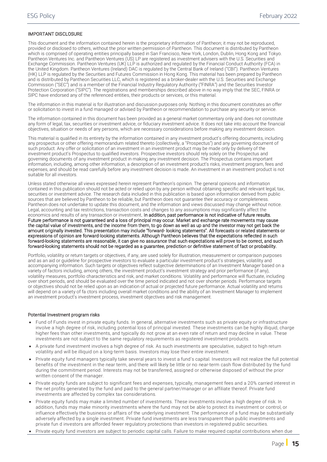#### IMPORTANT DISCLOSURE

This document and the information contained herein is the proprietary information of Pantheon; it may not be reproduced, provided or disclosed to others, without the prior written permission of Pantheon. This document is distributed by Pantheon which is comprised of operating entities principally based in San Francisco, New York, London, Dublin, Hong Kong and Tokyo. Pantheon Ventures Inc. and Pantheon Ventures (US) LP are registered as investment advisers with the U.S. Securities and Exchange Commission. Pantheon Ventures (UK) LLP is authorized and regulated by the Financial Conduct Authority (FCA) in the United Kingdom. Pantheon Ventures (Ireland) DAC is regulated by the Central Bank of Ireland ("CBI"). Pantheon Ventures (HK) LLP is regulated by the Securities and Futures Commission in Hong Kong. This material has been prepared by Pantheon and is distributed by Pantheon Securities LLC, which is registered as a broker-dealer with the U.S. Securities and Exchange Commission ("SEC") and is a member of the Financial Industry Regulatory Authority ("FINRA") and the Securities Investor Protection Corporation ("SIPC"). The registrations and memberships described above in no way imply that the SEC, FINRA or SIPC have endorsed any of the referenced entities, their products or services, or this material.

The information in this material is for illustration and discussion purposes only. Nothing in this document constitutes an offer or solicitation to invest in a fund managed or advised by Pantheon or recommendation to purchase any security or service.

The information contained in this document has been provided as a general market commentary only and does not constitute any form of legal, tax, securities or investment advice, or fiduciary investment advice. It does not take into account the financial objectives, situation or needs of any persons, which are necessary considerations before making any investment decision.

This material is qualified in its entirety by the information contained in any investment product's offering documents, including any prospectus or other offering memorandum related thereto (collectively, a "Prospectus") and any governing document of such product. Any offer or solicitation of an investment in an investment product may be made only by delivery of the investment product's Prospectus to qualified investors. Prospective investors should rely solely on the Prospectus and governing documents of any investment product in making any investment decision. The Prospectus contains important information, including, among other information, a description of an investment product's risks, investment program, fees and expenses, and should be read carefully before any investment decision is made. An investment in an investment product is not suitable for all investors.

Unless stated otherwise all views expressed herein represent Pantheon's opinion. The general opinions and information contained in this publication should not be acted or relied upon by any person without obtaining specific and relevant legal, tax, securities or investment advice. The research data included in this publication is based upon information derived from public sources that are believed by Pantheon to be reliable, but Pantheon does not guarantee their accuracy or completeness. Pantheon does not undertake to update this document, and the information and views discussed may change without notice. Legal, accounting and tax restrictions, transaction costs and changes to any assumptions may significantly affect the economics and results of any transaction or investment. In addition, past performance is not indicative of future results. Future performance is not guaranteed and a loss of principal may occur. Market and exchange rate movements may cause the capital value of investments, and the income from them, to go down as well as up and the investor may not get back the amount originally invested. This presentation may include "forward- looking statements". All forecasts or related statements or expressions of opinion are forward-looking statements. Although Pantheon believes that the expectations reflected in such forward-looking statements are reasonable, it can give no assurance that such expectations will prove to be correct, and such forward-looking statements should not be regarded as a guarantee, prediction or definitive statement of fact or probability.

Portfolio, volatility or return targets or objectives, if any, are used solely for illustration, measurement or comparison purposes and as an aid or guideline for prospective investors to evaluate a particular investment product's strategies, volatility and accompanying information. Such targets or objectives reflect subjective determinations of an Investment Manager based on a variety of factors including, among others, the investment product's investment strategy and prior performance (if any), volatility measures, portfolio characteristics and risk, and market conditions. Volatility and performance will fluctuate, including over short periods, and should be evaluated over the time period indicated and not over shorter periods. Performance targets or objectives should not be relied upon as an indication of actual or projected future performance. Actual volatility and returns will depend on a variety of fa ctors including overall market conditions and the ability of an Investment Manager to implement an investment product's investment process, investment objectives and risk management.

#### Potential Investment program risks

- Fund of Funds invest in private equity funds. In general, alternative investments such as private equity or infrastructure involve a high degree of risk, including potential loss of principal invested. These investments can be highly illiquid, charge higher fees than other investments, and typically do not grow at an even rate of return and may decline in value. These investments are not subject to the same regulatory requirements as registered investment products.
- A private fund investment involves a high degree of risk. As such investments are speculative, subject to high return volatility and will be illiquid on a long-term basis. Investors may lose their entire investment.
- Private equity fund managers typically take several years to invest a fund's capital. Investors will not realize the full potential benefits of the investment in the near term, and there will likely be little or no near-term cash flow distributed by the fund during the commitment period. Interests may not be transferred, assigned or otherwise disposed of without the prior written consent of the manager.
- Private equity funds are subject to significant fees and expenses, typically, management fees and a 20% carried interest in the net profits generated by the fund and paid to the general partner/manager or an affiliate thereof. Private fund investments are affected by complex tax considerations.
- Private equity funds may make a limited number of investments. These investments involve a high degree of risk. In addition, funds may make minority investments where the fund may not be able to protect its investment or control, or influence effectively the business or affairs of the underlying investment. The performance of a fund may be substantially adversely affected by a single investment. Private fund investments are less transparent than public investments and private fun d investors are afforded fewer regulatory protections than investors in registered public securities.
- Private equity fund investors are subject to periodic capital calls. Failure to make required capital contributions when due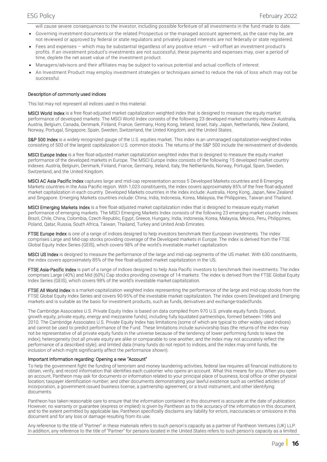will cause severe consequences to the investor, including possible forfeiture of all investments in the fund made to date.

- Governing investment documents or the related Prospectus or the managed account agreement, as the case may be, are not reviewed or approved by federal or state regulators and privately placed interests are not federally or state registered.
- Fees and expenses which may be substantial regardless of any positive return will offset an investment product's profits. If an investment product's investments are not successful, these payments and expenses may, over a period of time, deplete the net asset value of the investment product.
- Managers/advisors and their affiliates may be subject to various potential and actual conflicts of interest.

• An Investment Product may employ investment strategies or techniques aimed to reduce the risk of loss which may not be successful.

#### Description of commonly used indices

This list may not represent all indices used in this material.

MSCI World Index is a free float-adjusted market capitalization weighted index that is designed to measure the equity market performance of developed markets. The MSCI World Index consists of the following 23 developed market country indexes: Australia, Austria, Belgium, Canada, Denmark, Finland, France, Germany, Hong Kong, Ireland, Israel, Italy, Japan, Netherlands, New Zealand, Norway, Portugal, Singapore, Spain, Sweden, Switzerland, the United Kingdom, and the United States.

S&P 500 Index is a widely recognized gauge of the U.S. equities market. This index is an unmanaged capitalization-weighted index consisting of 500 of the largest capitalization U.S. common stocks. The returns of the S&P 500 include the reinvestment of dividends.

MSCI Europe Index is a free float-adjusted market capitalization weighted index that is designed to measure the equity market performance of the developed markets in Europe. The MSCI Europe Index consists of the following 15 developed market country indexes: Austria, Belgium, Denmark, Finland, France, Germany, Ireland, Italy, the Netherlands, Norway, Portugal, Spain, Sweden, Switzerland, and the United Kingdom.

MSCI AC Asia Pacific Index captures large and mid-cap representation across 5 Developed Markets countries and 8 Emerging Markets countries in the Asia Pacific region. With 1,023 constituents, the index covers approximately 85% of the free float-adjusted market capitalization in each country. Developed Markets countries in the index include: Australia, Hong Kong, Japan, New Zealand and Singapore. Emerging Markets countries include: China, India, Indonesia, Korea, Malaysia, the Philippines, Taiwan and Thailand.

MSCI Emerging Markets Index is a free float-adjusted market capitalization index that is designed to measure equity market performance of emerging markets. The MSCI Emerging Markets Index consists of the following 23 emerging market country indexes: Brazil, Chile, China, Colombia, Czech Republic, Egypt, Greece, Hungary, India, Indonesia, Korea, Malaysia, Mexico, Peru, Philippines, Poland, Qatar, Russia, South Africa, Taiwan, Thailand, Turkey and United Arab Emirates.

FTSE Europe Index is one of a range of indices designed to help investors benchmark their European investments. The index comprises Large and Mid-cap stocks providing coverage of the Developed markets in Europe. The index is derived from the FTSE Global Equity Index Series (GEIS), which covers 98% of the world's investable market capitalization.

MSCI US Index is designed to measure the performance of the large and mid-cap segments of the US market. With 630 constituents, the index covers approximately 85% of the free float-adjusted market capitalization in the US.

FTSE Asia-Pacific Index is part of a range of indices designed to help Asia Pacific investors to benchmark their investments. The index comprises Large (40%) and Mid (60%) Cap stocks providing coverage of 14 markets. The index is derived from the FTSE Global Equity Index Series (GEIS), which covers 98% of the world's investable market capitalization.

FTSE All World Index is a market-capitalization weighted index representing the performance of the large and mid-cap stocks from the FTSE Global Equity Index Series and covers 90-95% of the investable market capitalization. The index covers Developed and Emerging markets and is suitable as the basis for investment products, such as funds, derivatives and exchange-tradedfunds.

The Cambridge Associates U.S. Private Equity Index is based on data compiled from 970 U.S. private equity funds (buyout, growth equity, private equity, energy and mezzanine funds), including fully liquidated partnerships, formed between 1986 and 2010. The Cambridge Associates U.S. Private Equity Index has limitations (some of which are typical to other widely used indices) and cannot be used to predict performance of the Fund. These limitations include survivorship bias (the returns of the index may not be representative of all private equity funds in the universe because of the tendency of lower performing funds to leave the index); heterogeneity (not all private equity are alike or comparable to one another, and the index may not accurately reflect the performance of a described style); and limited data (many funds do not report to indices, and the index may omit funds, the inclusion of which might significantly affect the performance shown).

#### Important information regarding: Opening a new "Account"

To help the government fight the funding of terrorism and money laundering activities, federal law requires all financial institutions to obtain, verify, and record information that identifies each customer who opens an account. What this means for you: When you open an account, Pantheon may ask for documents or information related to your principal place of business, local office or other physical location; taxpayer identification number; and other documents demonstrating your lawful existence such as certified articles of incorporation, a government-issued business license, a partnership agreement, or a trust instrument, and other identifying documents.

Pantheon has taken reasonable care to ensure that the information contained in this document is accurate at the date of publication. However, no warranty or guarantee (express or implied) is given by Pantheon as to the accuracy of the information in this document, and to the extent permitted by applicable law, Pantheon specifically disclaims any liability for errors, inaccuracies or omissions in this document and for any loss or damage resulting from its use.

Any reference to the title of "Partner" in these materials refers to such person's capacity as a partner of Pantheon Ventures (UK) LLP. In addition, any reference to the title of "Partner" for persons located in the United States refers to such person's capacity as a limited